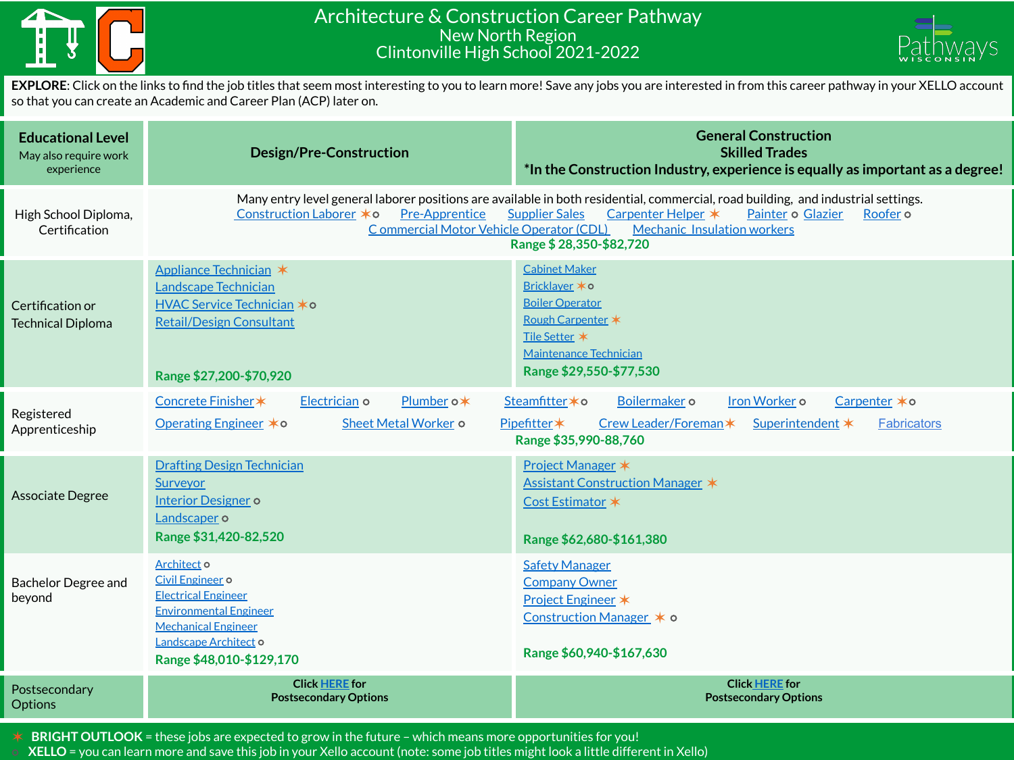

## Architecture & Construction Career Pathway New North Region Clintonville High School 2021-2022



**EXPLORE**: Click on the links to find the job titles that seem most interesting to you to learn more! Save any jobs you are interested in from this career pathway in your XELLO account so that you can create an Academic and Career Plan (ACP) later on.

| <b>Educational Level</b><br>May also require work<br>experience | <b>Design/Pre-Construction</b>                                                                                                                                                                                                                                                                                                                                                     | <b>General Construction</b><br><b>Skilled Trades</b><br>*In the Construction Industry, experience is equally as important as a degree!                                      |  |
|-----------------------------------------------------------------|------------------------------------------------------------------------------------------------------------------------------------------------------------------------------------------------------------------------------------------------------------------------------------------------------------------------------------------------------------------------------------|-----------------------------------------------------------------------------------------------------------------------------------------------------------------------------|--|
| High School Diploma,<br>Certification                           | Many entry level general laborer positions are available in both residential, commercial, road building, and industrial settings.<br>Construction Laborer * o<br><b>Pre-Apprentice</b><br>Carpenter Helper *<br>Painter o Glazier<br><b>Supplier Sales</b><br>Roofer o<br>Commercial Motor Vehicle Operator (CDL)<br><b>Mechanic Insulation workers</b><br>Range \$28,350-\$82,720 |                                                                                                                                                                             |  |
| Certification or<br><b>Technical Diploma</b>                    | Appliance Technician *<br>Landscape Technician<br><b>HVAC Service Technician *o</b><br><b>Retail/Design Consultant</b><br>Range \$27,200-\$70,920                                                                                                                                                                                                                                  | <b>Cabinet Maker</b><br>Bricklayer * o<br><b>Boiler Operator</b><br>Rough Carpenter *<br>Tile Setter *<br>Maintenance Technician<br>Range \$29,550-\$77,530                 |  |
| Registered<br>Apprenticeship                                    | Electrician o<br>Plumber o*<br>Concrete Finisher *<br>Operating Engineer <b>*</b> ○<br>Sheet Metal Worker o                                                                                                                                                                                                                                                                        | Iron Worker o<br>Steamfitter * o<br>Boilermaker o<br>Carpenter *o<br>Pipefitter*<br>Crew Leader/Foreman*<br>Superintendent *<br><b>Fabricators</b><br>Range \$35,990-88,760 |  |
| <b>Associate Degree</b>                                         | <b>Drafting Design Technician</b><br>Surveyor<br><b>Interior Designer o</b><br>Landscaper o<br>Range \$31,420-82,520                                                                                                                                                                                                                                                               | Project Manager *<br>Assistant Construction Manager *<br>Cost Estimator *<br>Range \$62,680-\$161,380                                                                       |  |
| <b>Bachelor Degree and</b><br>beyond                            | Architect o<br>Civil Engineer o<br><b>Electrical Engineer</b><br><b>Environmental Engineer</b><br><b>Mechanical Engineer</b><br>Landscape Architect o<br>Range \$48,010-\$129,170                                                                                                                                                                                                  | <b>Safety Manager</b><br><b>Company Owner</b><br>Project Engineer *<br>Construction Manager * o<br>Range \$60,940-\$167,630                                                 |  |
| Postsecondary<br><b>Options</b>                                 | <b>Click HERE for</b><br><b>Postsecondary Options</b>                                                                                                                                                                                                                                                                                                                              | <b>Click HERE for</b><br><b>Postsecondary Options</b>                                                                                                                       |  |

✶ **BRIGHT OUTLOOK** = these jobs are expected to grow in the future – which means more opportunities for you!

⭘ **XELLO** = you can learn more and save this job in your Xello account (note: some job titles might look a little different in Xello)